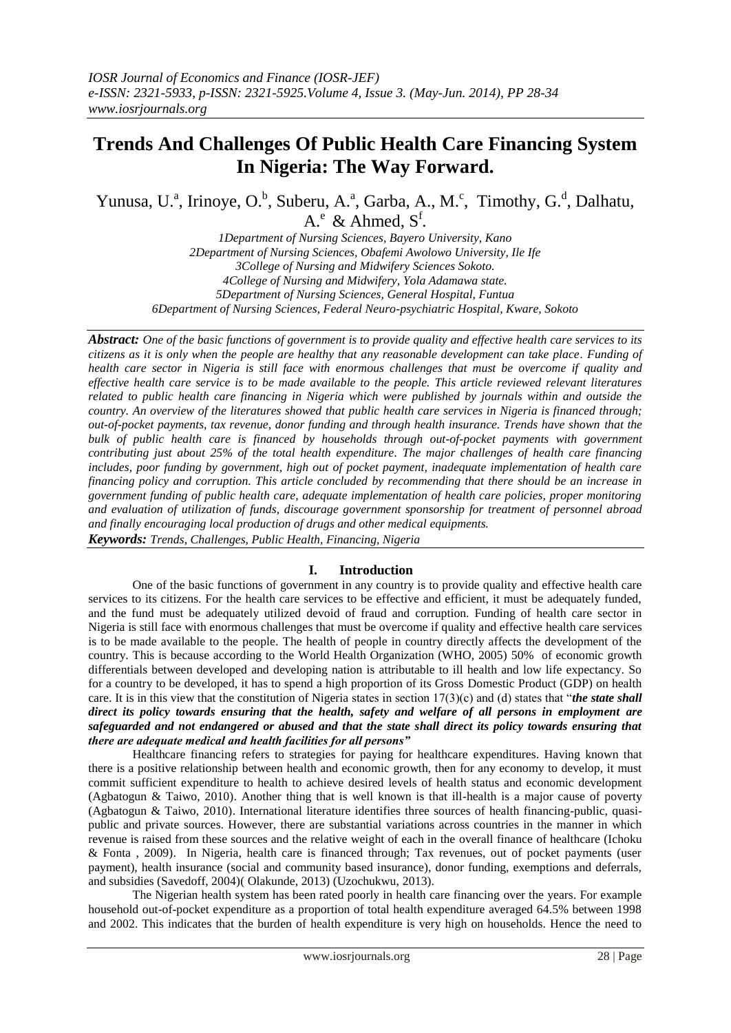# **Trends And Challenges Of Public Health Care Financing System In Nigeria: The Way Forward.**

Yunusa, U.<sup>a</sup>, Irinoye, O.<sup>b</sup>, Suberu, A.<sup>a</sup>, Garba, A., M.<sup>c</sup>, Timothy, G.<sup>d</sup>, Dalhatu,  $A^e$  & Ahmed,  $S^f$ .

*1Department of Nursing Sciences, Bayero University, Kano 2Department of Nursing Sciences, Obafemi Awolowo University, Ile Ife 3College of Nursing and Midwifery Sciences Sokoto. 4College of Nursing and Midwifery, Yola Adamawa state. 5Department of Nursing Sciences, General Hospital, Funtua 6Department of Nursing Sciences, Federal Neuro-psychiatric Hospital, Kware, Sokoto*

*Abstract: One of the basic functions of government is to provide quality and effective health care services to its citizens as it is only when the people are healthy that any reasonable development can take place. Funding of health care sector in Nigeria is still face with enormous challenges that must be overcome if quality and effective health care service is to be made available to the people. This article reviewed relevant literatures related to public health care financing in Nigeria which were published by journals within and outside the country. An overview of the literatures showed that public health care services in Nigeria is financed through; out-of-pocket payments, tax revenue, donor funding and through health insurance. Trends have shown that the bulk of public health care is financed by households through out-of-pocket payments with government contributing just about 25% of the total health expenditure. The major challenges of health care financing includes, poor funding by government, high out of pocket payment, inadequate implementation of health care financing policy and corruption. This article concluded by recommending that there should be an increase in government funding of public health care, adequate implementation of health care policies, proper monitoring and evaluation of utilization of funds, discourage government sponsorship for treatment of personnel abroad and finally encouraging local production of drugs and other medical equipments. Keywords: Trends, Challenges, Public Health, Financing, Nigeria*

## **I. Introduction**

One of the basic functions of government in any country is to provide quality and effective health care services to its citizens. For the health care services to be effective and efficient, it must be adequately funded, and the fund must be adequately utilized devoid of fraud and corruption. Funding of health care sector in Nigeria is still face with enormous challenges that must be overcome if quality and effective health care services is to be made available to the people. The health of people in country directly affects the development of the country. This is because according to the World Health Organization (WHO, 2005) 50% of economic growth differentials between developed and developing nation is attributable to ill health and low life expectancy. So for a country to be developed, it has to spend a high proportion of its Gross Domestic Product (GDP) on health care. It is in this view that the constitution of Nigeria states in section 17(3)(c) and (d) states that "*the state shall direct its policy towards ensuring that the health, safety and welfare of all persons in employment are safeguarded and not endangered or abused and that the state shall direct its policy towards ensuring that there are adequate medical and health facilities for all persons"*

Healthcare financing refers to strategies for paying for healthcare expenditures. Having known that there is a positive relationship between health and economic growth, then for any economy to develop, it must commit sufficient expenditure to health to achieve desired levels of health status and economic development (Agbatogun & Taiwo, 2010). Another thing that is well known is that ill-health is a major cause of poverty (Agbatogun & Taiwo, 2010). International literature identifies three sources of health financing-public, quasipublic and private sources. However, there are substantial variations across countries in the manner in which revenue is raised from these sources and the relative weight of each in the overall finance of healthcare (Ichoku & Fonta , 2009). In Nigeria, health care is financed through; Tax revenues, out of pocket payments (user payment), health insurance (social and community based insurance), donor funding, exemptions and deferrals, and subsidies (Savedoff, 2004)( Olakunde, 2013) (Uzochukwu, 2013).

The Nigerian health system has been rated poorly in health care financing over the years. For example household out-of-pocket expenditure as a proportion of total health expenditure averaged 64.5% between 1998 and 2002. This indicates that the burden of health expenditure is very high on households. Hence the need to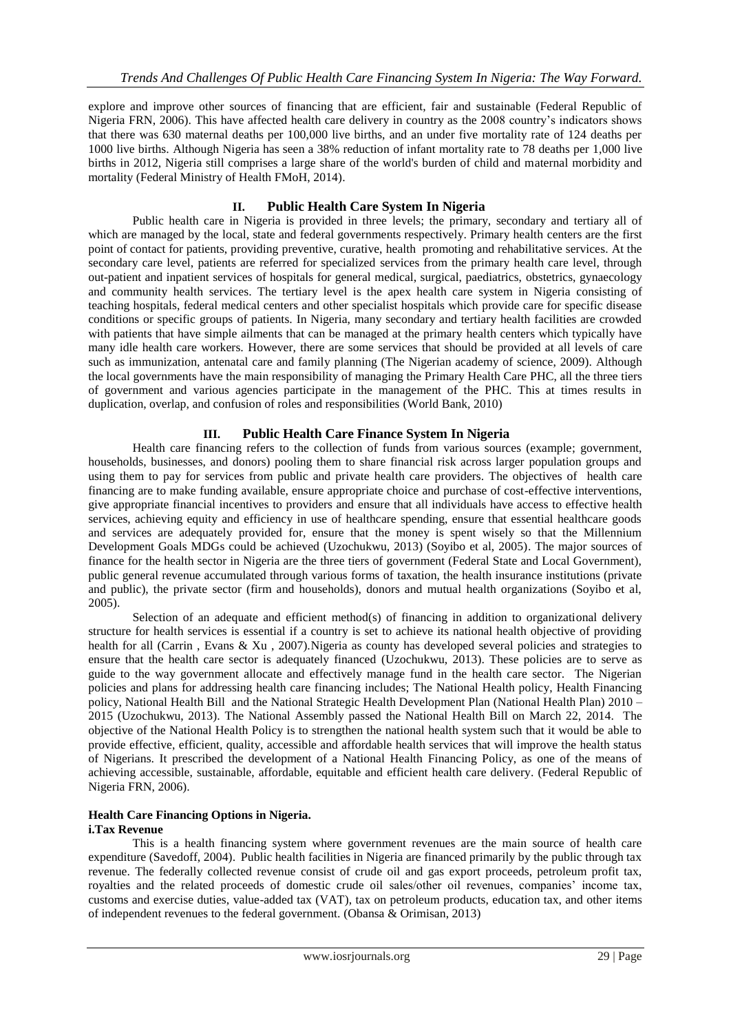explore and improve other sources of financing that are efficient, fair and sustainable (Federal Republic of Nigeria FRN, 2006). This have affected health care delivery in country as the 2008 country"s indicators shows that there was 630 maternal deaths per 100,000 live births, and an under five mortality rate of 124 deaths per 1000 live births. Although Nigeria has seen a 38% reduction of infant mortality rate to 78 deaths per 1,000 live births in 2012, Nigeria still comprises a large share of the world's burden of child and maternal morbidity and mortality (Federal Ministry of Health FMoH, 2014).

# **II. Public Health Care System In Nigeria**

Public health care in Nigeria is provided in three levels; the primary, secondary and tertiary all of which are managed by the local, state and federal governments respectively. Primary health centers are the first point of contact for patients, providing preventive, curative, health promoting and rehabilitative services. At the secondary care level, patients are referred for specialized services from the primary health care level, through out-patient and inpatient services of hospitals for general medical, surgical, paediatrics, obstetrics, gynaecology and community health services. The tertiary level is the apex health care system in Nigeria consisting of teaching hospitals, federal medical centers and other specialist hospitals which provide care for specific disease conditions or specific groups of patients. In Nigeria, many secondary and tertiary health facilities are crowded with patients that have simple ailments that can be managed at the primary health centers which typically have many idle health care workers. However, there are some services that should be provided at all levels of care such as immunization, antenatal care and family planning (The Nigerian academy of science, 2009). Although the local governments have the main responsibility of managing the Primary Health Care PHC, all the three tiers of government and various agencies participate in the management of the PHC. This at times results in duplication, overlap, and confusion of roles and responsibilities (World Bank, 2010)

# **III. Public Health Care Finance System In Nigeria**

Health care financing refers to the collection of funds from various sources (example; government, households, businesses, and donors) pooling them to share financial risk across larger population groups and using them to pay for services from public and private health care providers. The objectives of health care financing are to make funding available, ensure appropriate choice and purchase of cost-effective interventions, give appropriate financial incentives to providers and ensure that all individuals have access to effective health services, achieving equity and efficiency in use of healthcare spending, ensure that essential healthcare goods and services are adequately provided for, ensure that the money is spent wisely so that the Millennium Development Goals MDGs could be achieved (Uzochukwu, 2013) (Soyibo et al, 2005). The major sources of finance for the health sector in Nigeria are the three tiers of government (Federal State and Local Government), public general revenue accumulated through various forms of taxation, the health insurance institutions (private and public), the private sector (firm and households), donors and mutual health organizations (Soyibo et al, 2005).

Selection of an adequate and efficient method(s) of financing in addition to organizational delivery structure for health services is essential if a country is set to achieve its national health objective of providing health for all (Carrin, Evans & Xu, 2007). Nigeria as county has developed several policies and strategies to ensure that the health care sector is adequately financed (Uzochukwu, 2013). These policies are to serve as guide to the way government allocate and effectively manage fund in the health care sector. The Nigerian policies and plans for addressing health care financing includes; The National Health policy, Health Financing policy, National Health Bill and the National Strategic Health Development Plan (National Health Plan) 2010 – 2015 (Uzochukwu, 2013). The National Assembly passed the National Health Bill on March 22, 2014. The objective of the National Health Policy is to strengthen the national health system such that it would be able to provide effective, efficient, quality, accessible and affordable health services that will improve the health status of Nigerians. It prescribed the development of a National Health Financing Policy, as one of the means of achieving accessible, sustainable, affordable, equitable and efficient health care delivery. (Federal Republic of Nigeria FRN, 2006).

#### **Health Care Financing Options in Nigeria. i.Tax Revenue**

This is a health financing system where government revenues are the main source of health care expenditure (Savedoff, 2004). Public health facilities in Nigeria are financed primarily by the public through tax revenue. The federally collected revenue consist of crude oil and gas export proceeds, petroleum profit tax, royalties and the related proceeds of domestic crude oil sales/other oil revenues, companies" income tax, customs and exercise duties, value-added tax (VAT), tax on petroleum products, education tax, and other items of independent revenues to the federal government. (Obansa & Orimisan, 2013)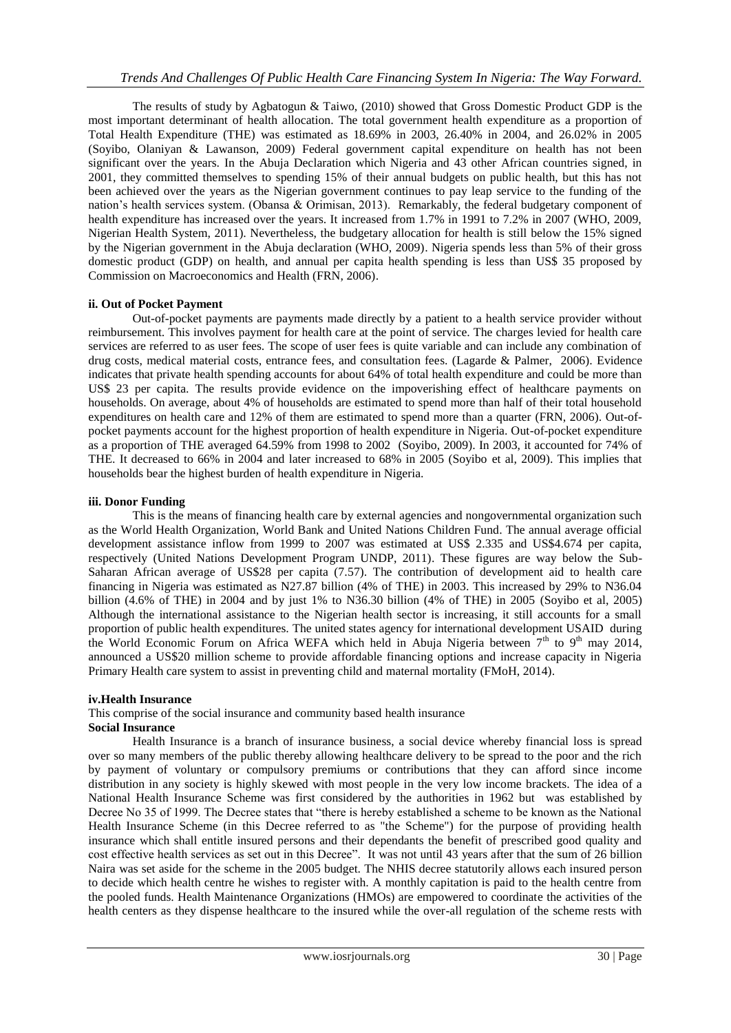The results of study by Agbatogun & Taiwo, (2010) showed that Gross Domestic Product GDP is the most important determinant of health allocation. The total government health expenditure as a proportion of Total Health Expenditure (THE) was estimated as 18.69% in 2003, 26.40% in 2004, and 26.02% in 2005 (Soyibo, Olaniyan & Lawanson, 2009) Federal government capital expenditure on health has not been significant over the years. In the Abuja Declaration which Nigeria and 43 other African countries signed, in 2001, they committed themselves to spending 15% of their annual budgets on public health, but this has not been achieved over the years as the Nigerian government continues to pay leap service to the funding of the nation"s health services system. (Obansa & Orimisan, 2013). Remarkably, the federal budgetary component of health expenditure has increased over the years. It increased from 1.7% in 1991 to 7.2% in 2007 (WHO, 2009, Nigerian Health System, 2011). Nevertheless, the budgetary allocation for health is still below the 15% signed by the Nigerian government in the Abuja declaration (WHO, 2009). Nigeria spends less than 5% of their gross domestic product (GDP) on health, and annual per capita health spending is less than US\$ 35 proposed by Commission on Macroeconomics and Health (FRN, 2006).

## **ii. Out of Pocket Payment**

Out-of-pocket payments are payments made directly by a patient to a health service provider without reimbursement. This involves payment for health care at the point of service. The charges levied for health care services are referred to as user fees. The scope of user fees is quite variable and can include any combination of drug costs, medical material costs, entrance fees, and consultation fees. (Lagarde & Palmer, 2006). Evidence indicates that private health spending accounts for about 64% of total health expenditure and could be more than US\$ 23 per capita. The results provide evidence on the impoverishing effect of healthcare payments on households. On average, about 4% of households are estimated to spend more than half of their total household expenditures on health care and 12% of them are estimated to spend more than a quarter (FRN, 2006). Out-ofpocket payments account for the highest proportion of health expenditure in Nigeria. Out-of-pocket expenditure as a proportion of THE averaged 64.59% from 1998 to 2002 (Soyibo, 2009). In 2003, it accounted for 74% of THE. It decreased to 66% in 2004 and later increased to 68% in 2005 (Soyibo et al, 2009). This implies that households bear the highest burden of health expenditure in Nigeria.

#### **iii. Donor Funding**

This is the means of financing health care by external agencies and nongovernmental organization such as the World Health Organization, World Bank and United Nations Children Fund. The annual average official development assistance inflow from 1999 to 2007 was estimated at US\$ 2.335 and US\$4.674 per capita, respectively (United Nations Development Program UNDP, 2011). These figures are way below the Sub-Saharan African average of US\$28 per capita (7.57). The contribution of development aid to health care financing in Nigeria was estimated as N27.87 billion (4% of THE) in 2003. This increased by 29% to N36.04 billion (4.6% of THE) in 2004 and by just 1% to N36.30 billion (4% of THE) in 2005 (Soyibo et al, 2005) Although the international assistance to the Nigerian health sector is increasing, it still accounts for a small proportion of public health expenditures. The united states agency for international development USAID during the World Economic Forum on Africa WEFA which held in Abuja Nigeria between  $7<sup>th</sup>$  to 9<sup>th</sup> may 2014, announced a US\$20 million scheme to provide affordable financing options and increase capacity in Nigeria Primary Health care system to assist in preventing child and maternal mortality (FMoH, 2014).

#### **iv.Health Insurance**

This comprise of the social insurance and community based health insurance

## **Social Insurance**

Health Insurance is a branch of insurance business, a social device whereby financial loss is spread over so many members of the public thereby allowing healthcare delivery to be spread to the poor and the rich by payment of voluntary or compulsory premiums or contributions that they can afford since income distribution in any society is highly skewed with most people in the very low income brackets. The idea of a National Health Insurance Scheme was first considered by the authorities in 1962 but was established by Decree No 35 of 1999. The Decree states that "there is hereby established a scheme to be known as the National Health Insurance Scheme (in this Decree referred to as "the Scheme") for the purpose of providing health insurance which shall entitle insured persons and their dependants the benefit of prescribed good quality and cost effective health services as set out in this Decree". It was not until 43 years after that the sum of 26 billion Naira was set aside for the scheme in the 2005 budget. The NHIS decree statutorily allows each insured person to decide which health centre he wishes to register with. A monthly capitation is paid to the health centre from the pooled funds. Health Maintenance Organizations (HMOs) are empowered to coordinate the activities of the health centers as they dispense healthcare to the insured while the over-all regulation of the scheme rests with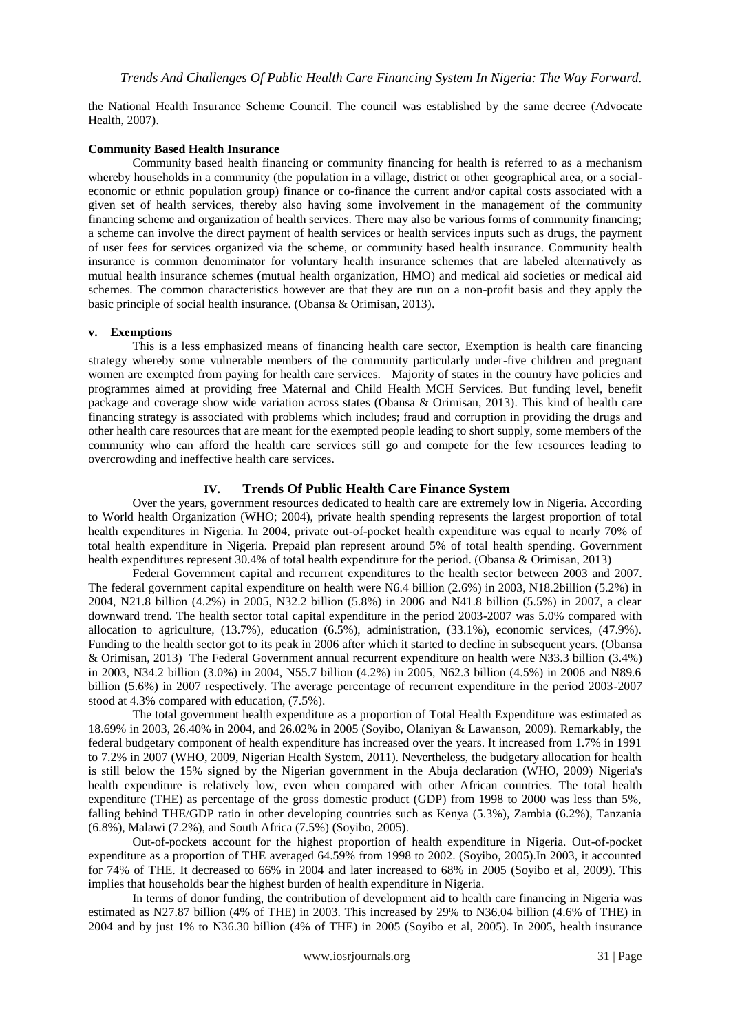the National Health Insurance Scheme Council. The council was established by the same decree (Advocate Health, 2007).

#### **Community Based Health Insurance**

Community based health financing or community financing for health is referred to as a mechanism whereby households in a community (the population in a village, district or other geographical area, or a socialeconomic or ethnic population group) finance or co-finance the current and/or capital costs associated with a given set of health services, thereby also having some involvement in the management of the community financing scheme and organization of health services. There may also be various forms of community financing; a scheme can involve the direct payment of health services or health services inputs such as drugs, the payment of user fees for services organized via the scheme, or community based health insurance. Community health insurance is common denominator for voluntary health insurance schemes that are labeled alternatively as mutual health insurance schemes (mutual health organization, HMO) and medical aid societies or medical aid schemes. The common characteristics however are that they are run on a non-profit basis and they apply the basic principle of social health insurance. (Obansa & Orimisan, 2013).

#### **v. Exemptions**

This is a less emphasized means of financing health care sector, Exemption is health care financing strategy whereby some vulnerable members of the community particularly under-five children and pregnant women are exempted from paying for health care services. Majority of states in the country have policies and programmes aimed at providing free Maternal and Child Health MCH Services. But funding level, benefit package and coverage show wide variation across states (Obansa & Orimisan, 2013). This kind of health care financing strategy is associated with problems which includes; fraud and corruption in providing the drugs and other health care resources that are meant for the exempted people leading to short supply, some members of the community who can afford the health care services still go and compete for the few resources leading to overcrowding and ineffective health care services.

## **IV. Trends Of Public Health Care Finance System**

Over the years, government resources dedicated to health care are extremely low in Nigeria. According to World health Organization (WHO; 2004), private health spending represents the largest proportion of total health expenditures in Nigeria. In 2004, private out-of-pocket health expenditure was equal to nearly 70% of total health expenditure in Nigeria. Prepaid plan represent around 5% of total health spending. Government health expenditures represent 30.4% of total health expenditure for the period. (Obansa & Orimisan, 2013)

Federal Government capital and recurrent expenditures to the health sector between 2003 and 2007. The federal government capital expenditure on health were N6.4 billion (2.6%) in 2003, N18.2billion (5.2%) in 2004, N21.8 billion (4.2%) in 2005, N32.2 billion (5.8%) in 2006 and N41.8 billion (5.5%) in 2007, a clear downward trend. The health sector total capital expenditure in the period 2003-2007 was 5.0% compared with allocation to agriculture, (13.7%), education (6.5%), administration, (33.1%), economic services, (47.9%). Funding to the health sector got to its peak in 2006 after which it started to decline in subsequent years. (Obansa & Orimisan, 2013) The Federal Government annual recurrent expenditure on health were N33.3 billion (3.4%) in 2003, N34.2 billion (3.0%) in 2004, N55.7 billion (4.2%) in 2005, N62.3 billion (4.5%) in 2006 and N89.6 billion (5.6%) in 2007 respectively. The average percentage of recurrent expenditure in the period 2003-2007 stood at 4.3% compared with education, (7.5%).

The total government health expenditure as a proportion of Total Health Expenditure was estimated as 18.69% in 2003, 26.40% in 2004, and 26.02% in 2005 (Soyibo, Olaniyan & Lawanson, 2009). Remarkably, the federal budgetary component of health expenditure has increased over the years. It increased from 1.7% in 1991 to 7.2% in 2007 (WHO, 2009, Nigerian Health System, 2011). Nevertheless, the budgetary allocation for health is still below the 15% signed by the Nigerian government in the Abuja declaration (WHO, 2009) Nigeria's health expenditure is relatively low, even when compared with other African countries. The total health expenditure (THE) as percentage of the gross domestic product (GDP) from 1998 to 2000 was less than 5%, falling behind THE/GDP ratio in other developing countries such as Kenya (5.3%), Zambia (6.2%), Tanzania (6.8%), Malawi (7.2%), and South Africa (7.5%) (Soyibo, 2005).

Out-of-pockets account for the highest proportion of health expenditure in Nigeria. Out-of-pocket expenditure as a proportion of THE averaged 64.59% from 1998 to 2002. (Soyibo, 2005).In 2003, it accounted for 74% of THE. It decreased to 66% in 2004 and later increased to 68% in 2005 (Soyibo et al, 2009). This implies that households bear the highest burden of health expenditure in Nigeria.

In terms of donor funding, the contribution of development aid to health care financing in Nigeria was estimated as N27.87 billion (4% of THE) in 2003. This increased by 29% to N36.04 billion (4.6% of THE) in 2004 and by just 1% to N36.30 billion (4% of THE) in 2005 (Soyibo et al, 2005). In 2005, health insurance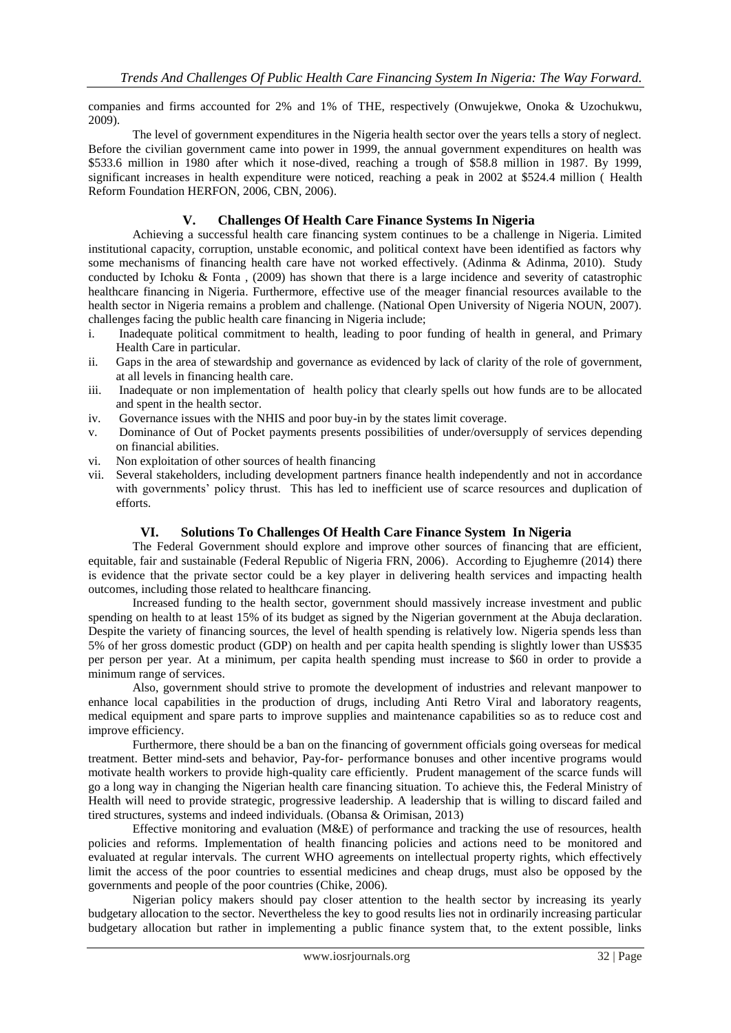companies and firms accounted for 2% and 1% of THE, respectively (Onwujekwe, Onoka & Uzochukwu, 2009).

The level of government expenditures in the Nigeria health sector over the years tells a story of neglect. Before the civilian government came into power in 1999, the annual government expenditures on health was \$533.6 million in 1980 after which it nose-dived, reaching a trough of \$58.8 million in 1987. By 1999, significant increases in health expenditure were noticed, reaching a peak in 2002 at \$524.4 million ( Health Reform Foundation HERFON, 2006, CBN, 2006).

## **V. Challenges Of Health Care Finance Systems In Nigeria**

Achieving a successful health care financing system continues to be a challenge in Nigeria. Limited institutional capacity, corruption, unstable economic, and political context have been identified as factors why some mechanisms of financing health care have not worked effectively. (Adinma & Adinma, 2010). Study conducted by Ichoku & Fonta , (2009) has shown that there is a large incidence and severity of catastrophic healthcare financing in Nigeria. Furthermore, effective use of the meager financial resources available to the health sector in Nigeria remains a problem and challenge. (National Open University of Nigeria NOUN, 2007). challenges facing the public health care financing in Nigeria include;

- i. Inadequate political commitment to health, leading to poor funding of health in general, and Primary Health Care in particular.
- ii. Gaps in the area of stewardship and governance as evidenced by lack of clarity of the role of government, at all levels in financing health care.
- iii. Inadequate or non implementation of health policy that clearly spells out how funds are to be allocated and spent in the health sector.
- iv. Governance issues with the NHIS and poor buy-in by the states limit coverage.
- v. Dominance of Out of Pocket payments presents possibilities of under/oversupply of services depending on financial abilities.
- vi. Non exploitation of other sources of health financing
- vii. Several stakeholders, including development partners finance health independently and not in accordance with governments' policy thrust. This has led to inefficient use of scarce resources and duplication of efforts.

## **VI. Solutions To Challenges Of Health Care Finance System In Nigeria**

The Federal Government should explore and improve other sources of financing that are efficient, equitable, fair and sustainable (Federal Republic of Nigeria FRN, 2006). According to Ejughemre (2014) there is evidence that the private sector could be a key player in delivering health services and impacting health outcomes, including those related to healthcare financing.

Increased funding to the health sector, government should massively increase investment and public spending on health to at least 15% of its budget as signed by the Nigerian government at the Abuja declaration. Despite the variety of financing sources, the level of health spending is relatively low. Nigeria spends less than 5% of her gross domestic product (GDP) on health and per capita health spending is slightly lower than US\$35 per person per year. At a minimum, per capita health spending must increase to \$60 in order to provide a minimum range of services.

Also, government should strive to promote the development of industries and relevant manpower to enhance local capabilities in the production of drugs, including Anti Retro Viral and laboratory reagents, medical equipment and spare parts to improve supplies and maintenance capabilities so as to reduce cost and improve efficiency.

Furthermore, there should be a ban on the financing of government officials going overseas for medical treatment. Better mind-sets and behavior, Pay-for- performance bonuses and other incentive programs would motivate health workers to provide high-quality care efficiently. Prudent management of the scarce funds will go a long way in changing the Nigerian health care financing situation. To achieve this, the Federal Ministry of Health will need to provide strategic, progressive leadership. A leadership that is willing to discard failed and tired structures, systems and indeed individuals. (Obansa & Orimisan, 2013)

Effective monitoring and evaluation (M&E) of performance and tracking the use of resources, health policies and reforms. Implementation of health financing policies and actions need to be monitored and evaluated at regular intervals. The current WHO agreements on intellectual property rights, which effectively limit the access of the poor countries to essential medicines and cheap drugs, must also be opposed by the governments and people of the poor countries (Chike, 2006).

Nigerian policy makers should pay closer attention to the health sector by increasing its yearly budgetary allocation to the sector. Nevertheless the key to good results lies not in ordinarily increasing particular budgetary allocation but rather in implementing a public finance system that, to the extent possible, links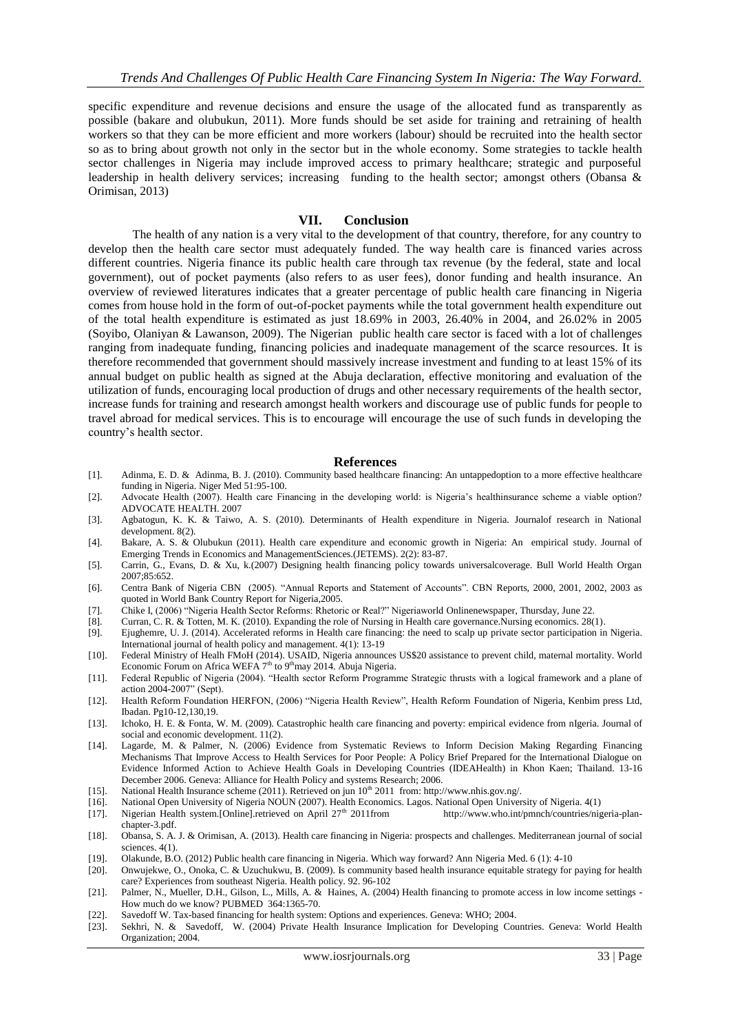specific expenditure and revenue decisions and ensure the usage of the allocated fund as transparently as possible (bakare and olubukun, 2011). More funds should be set aside for training and retraining of health workers so that they can be more efficient and more workers (labour) should be recruited into the health sector so as to bring about growth not only in the sector but in the whole economy. Some strategies to tackle health sector challenges in Nigeria may include improved access to primary healthcare; strategic and purposeful leadership in health delivery services; increasing funding to the health sector; amongst others (Obansa & Orimisan, 2013)

#### **VII. Conclusion**

The health of any nation is a very vital to the development of that country, therefore, for any country to develop then the health care sector must adequately funded. The way health care is financed varies across different countries. Nigeria finance its public health care through tax revenue (by the federal, state and local government), out of pocket payments (also refers to as user fees), donor funding and health insurance. An overview of reviewed literatures indicates that a greater percentage of public health care financing in Nigeria comes from house hold in the form of out-of-pocket payments while the total government health expenditure out of the total health expenditure is estimated as just 18.69% in 2003, 26.40% in 2004, and 26.02% in 2005 (Soyibo, Olaniyan & Lawanson, 2009). The Nigerian public health care sector is faced with a lot of challenges ranging from inadequate funding, financing policies and inadequate management of the scarce resources. It is therefore recommended that government should massively increase investment and funding to at least 15% of its annual budget on public health as signed at the Abuja declaration, effective monitoring and evaluation of the utilization of funds, encouraging local production of drugs and other necessary requirements of the health sector, increase funds for training and research amongst health workers and discourage use of public funds for people to travel abroad for medical services. This is to encourage will encourage the use of such funds in developing the country"s health sector.

#### **References**

- [1]. Adinma, E. D. & Adinma, B. J. (2010). Community based healthcare financing: An untappedoption to a more effective healthcare funding in Nigeria. Niger Med 51:95-100.
- [2]. Advocate Health (2007). Health care Financing in the developing world: is Nigeria"s healthinsurance scheme a viable option? ADVOCATE HEALTH. 2007
- [3]. Agbatogun, K. K. & Taiwo, A. S. (2010). Determinants of Health expenditure in Nigeria. Journalof research in National development. 8(2).
- [4]. Bakare, A. S. & Olubukun (2011). Health care expenditure and economic growth in Nigeria: An empirical study. Journal of Emerging Trends in Economics and ManagementSciences.(JETEMS). 2(2): 83-87.
- [5]. Carrin, G., Evans, D. & Xu, k.(2007) Designing health financing policy towards universalcoverage. Bull World Health Organ 2007;85:652.
- [6]. Centra Bank of Nigeria CBN (2005). "Annual Reports and Statement of Accounts". CBN Reports, 2000, 2001, 2002, 2003 as quoted in World Bank Country Report for Nigeria,2005.
- [7]. Chike I, (2006) "Nigeria Health Sector Reforms: Rhetoric or Real?" Nigeriaworld Onlinenewspaper, Thursday, June 22.
- [8]. Curran, C. R. & Totten, M. K. (2010). Expanding the role of Nursing in Health care governance.Nursing economics. 28(1).
- [9]. Ejughemre, U. J. (2014). Accelerated reforms in Health care financing: the need to scalp up private sector participation in Nigeria. International journal of health policy and management. 4(1): 13-19
- [10]. Federal Ministry of Healh FMoH (2014). USAID, Nigeria announces US\$20 assistance to prevent child, maternal mortality. World Economic Forum on Africa WEFA  $7<sup>th</sup>$  to  $9<sup>th</sup>$  may 2014. Abuja Nigeria.
- [11]. Federal Republic of Nigeria (2004). "Health sector Reform Programme Strategic thrusts with a logical framework and a plane of action 2004-2007" (Sept).
- [12]. Health Reform Foundation HERFON, (2006) "Nigeria Health Review", Health Reform Foundation of Nigeria, Kenbim press Ltd, Ibadan. Pg10-12,130,19.
- [13]. Ichoko, H. E. & Fonta, W. M. (2009). Catastrophic health care financing and poverty: empirical evidence from nIgeria. Journal of social and economic development. 11(2).
- [14]. Lagarde, M. & Palmer, N. (2006) Evidence from Systematic Reviews to Inform Decision Making Regarding Financing Mechanisms That Improve Access to Health Services for Poor People: A Policy Brief Prepared for the International Dialogue on Evidence Informed Action to Achieve Health Goals in Developing Countries (IDEAHealth) in Khon Kaen; Thailand. 13-16 December 2006. Geneva: Alliance for Health Policy and systems Research; 2006.
- [15]. National Health Insurance scheme (2011). Retrieved on jun  $10^{th}$  2011 from: http://www.nhis.gov.ng/.<br>[16]. National Open University of Nigeria NOUN (2007). Health Economics. Lagos. National Open Univer
- National Open University of Nigeria NOUN (2007). Health Economics. Lagos. National Open University of Nigeria. 4(1)
- [17]. Nigerian Health system.[Online].retrieved on April 27th 2011from [http://www.who.int/pmnch/countries/nigeria-plan](http://www.who.int/pmnch/countries/nigeria-plan-chapter-3.pdf)[chapter-3.pdf.](http://www.who.int/pmnch/countries/nigeria-plan-chapter-3.pdf)
- [18]. Obansa, S. A. J. & Orimisan, A. (2013). Health care financing in Nigeria: prospects and challenges. Mediterranean journal of social sciences.  $4(1)$ .
- [19]. Olakunde, B.O. (2012) Public health care financing in Nigeria. Which way forward? Ann Nigeria Med. 6 (1): 4-10
- [20]. Onwujekwe, O., Onoka, C. & Uzuchukwu, B. (2009). Is community based health insurance equitable strategy for paying for health care? Experiences from southeast Nigeria. Health policy. 92. 96-102
- [21]. Palmer, N., Mueller, D.H., Gilson, L., Mills, A. & Haines, A. (2004) Health financing to promote access in low income settings -How much do we know? [PUBMED](http://www.ncbi.nlm.nih.gov/entrez/query.fcgi?cmd=Retrieve&db=PubMed&list_uids=15474141&dopt=Abstract) 364:1365-70.
- [22]. Savedoff W. Tax-based financing for health system: Options and experiences. Geneva: WHO; 2004.
- [23]. Sekhri, N. & Savedoff, W. (2004) Private Health Insurance Implication for Developing Countries. Geneva: World Health Organization; 2004.